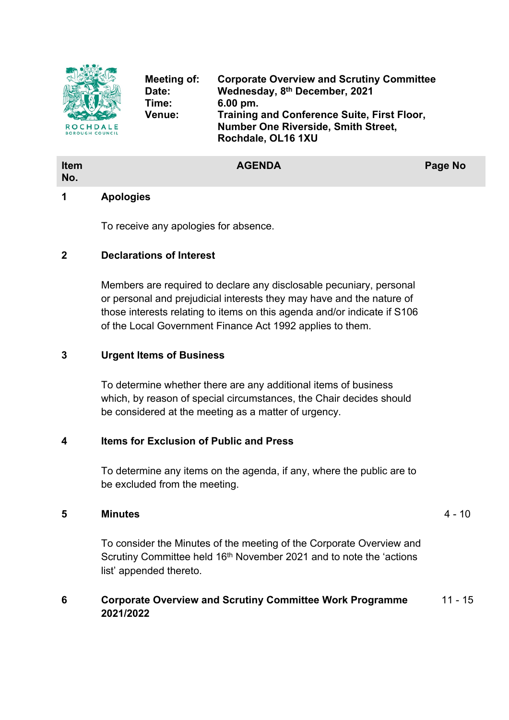

**Item No.**

**Meeting of: Corporate Overview and Scrutiny Committee Date: Wednesday, 8 th December, 2021 Time: 6.00 pm. Venue: Training and Conference Suite, First Floor, Number One Riverside, Smith Street, Rochdale, OL16 1XU**

# **AGENDA Page No**

# **1 Apologies**

To receive any apologies for absence.

#### **2 Declarations of Interest**

Members are required to declare any disclosable pecuniary, personal or personal and prejudicial interests they may have and the nature of those interests relating to items on this agenda and/or indicate if S106 of the Local Government Finance Act 1992 applies to them.

# **3 Urgent Items of Business**

To determine whether there are any additional items of business which, by reason of special circumstances, the Chair decides should be considered at the meeting as a matter of urgency.

# **4 Items for Exclusion of Public and Press**

To determine any items on the agenda, if any, where the public are to be excluded from the meeting.

#### **5 Minutes** 4 - 10

To consider the Minutes of the meeting of the Corporate Overview and Scrutiny Committee held 16<sup>th</sup> November 2021 and to note the 'actions list' appended thereto.

#### **6 Corporate Overview and Scrutiny Committee Work Programme 2021/2022** 11 - 15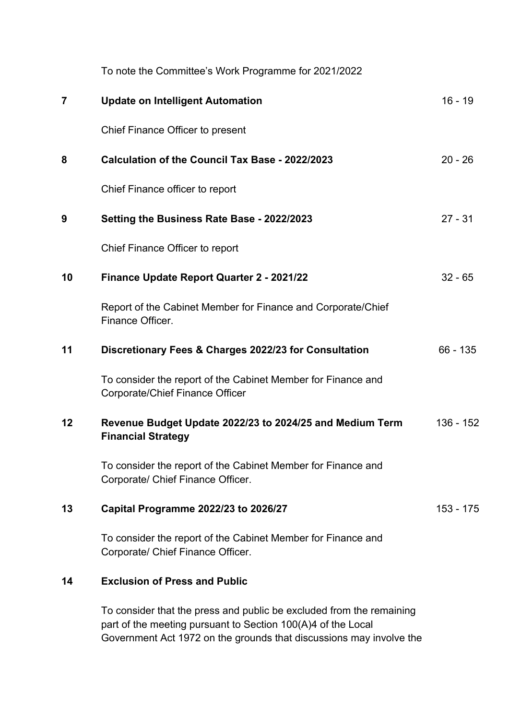|                | To note the Committee's Work Programme for 2021/2022                                                                                 |            |
|----------------|--------------------------------------------------------------------------------------------------------------------------------------|------------|
| $\overline{7}$ | <b>Update on Intelligent Automation</b>                                                                                              | $16 - 19$  |
|                | Chief Finance Officer to present                                                                                                     |            |
| 8              | Calculation of the Council Tax Base - 2022/2023                                                                                      | $20 - 26$  |
|                | Chief Finance officer to report                                                                                                      |            |
| 9              | Setting the Business Rate Base - 2022/2023                                                                                           | $27 - 31$  |
|                | Chief Finance Officer to report                                                                                                      |            |
| 10             | Finance Update Report Quarter 2 - 2021/22                                                                                            | $32 - 65$  |
|                | Report of the Cabinet Member for Finance and Corporate/Chief<br>Finance Officer.                                                     |            |
| 11             | Discretionary Fees & Charges 2022/23 for Consultation                                                                                | $66 - 135$ |
|                | To consider the report of the Cabinet Member for Finance and<br>Corporate/Chief Finance Officer                                      |            |
| 12             | Revenue Budget Update 2022/23 to 2024/25 and Medium Term<br><b>Financial Strategy</b>                                                | 136 - 152  |
|                | To consider the report of the Cabinet Member for Finance and<br>Corporate/ Chief Finance Officer.                                    |            |
| 13             | Capital Programme 2022/23 to 2026/27                                                                                                 | 153 - 175  |
|                | To consider the report of the Cabinet Member for Finance and<br>Corporate/ Chief Finance Officer.                                    |            |
| 14             | <b>Exclusion of Press and Public</b>                                                                                                 |            |
|                | To consider that the press and public be excluded from the remaining<br>part of the meeting pursuant to Section 100(A)4 of the Local |            |

Government Act 1972 on the grounds that discussions may involve the